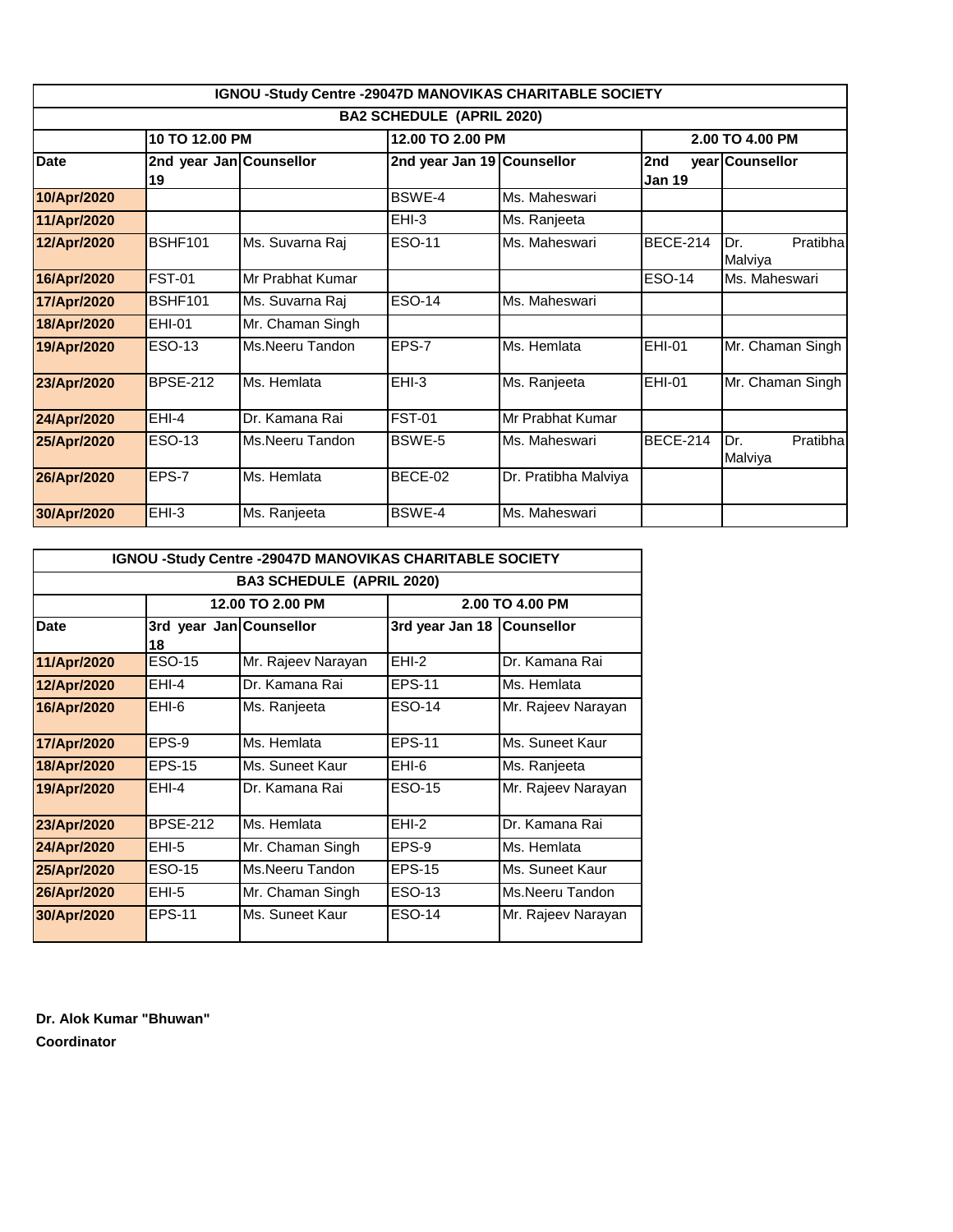|                                  |                               |                  |                            | IGNOU -Study Centre -29047D MANOVIKAS CHARITABLE SOCIETY |                      |                             |  |
|----------------------------------|-------------------------------|------------------|----------------------------|----------------------------------------------------------|----------------------|-----------------------------|--|
| <b>BA2 SCHEDULE (APRIL 2020)</b> |                               |                  |                            |                                                          |                      |                             |  |
|                                  | 10 TO 12.00 PM                |                  | 12.00 TO 2.00 PM           |                                                          | 2.00 TO 4.00 PM      |                             |  |
| <b>Date</b>                      | 2nd year Jan Counsellor<br>19 |                  | 2nd year Jan 19 Counsellor |                                                          | 2nd<br><b>Jan 19</b> | year Counsellor             |  |
| 10/Apr/2020                      |                               |                  | BSWE-4                     | Ms. Maheswari                                            |                      |                             |  |
| 11/Apr/2020                      |                               |                  | $EHI-3$                    | Ms. Ranjeeta                                             |                      |                             |  |
| 12/Apr/2020                      | <b>BSHF101</b>                | Ms. Suvarna Raj  | <b>ESO-11</b>              | Ms. Maheswari                                            | <b>BECE-214</b>      | Pratibha<br>Dr.<br>Malviya  |  |
| 16/Apr/2020                      | <b>FST-01</b>                 | Mr Prabhat Kumar |                            |                                                          | <b>ESO-14</b>        | Ms. Maheswari               |  |
| 17/Apr/2020                      | <b>BSHF101</b>                | Ms. Suvarna Raj  | <b>ESO-14</b>              | Ms. Maheswari                                            |                      |                             |  |
| 18/Apr/2020                      | <b>EHI-01</b>                 | Mr. Chaman Singh |                            |                                                          |                      |                             |  |
| 19/Apr/2020                      | <b>ESO-13</b>                 | Ms.Neeru Tandon  | EPS-7                      | Ms. Hemlata                                              | <b>EHI-01</b>        | Mr. Chaman Singh            |  |
| 23/Apr/2020                      | <b>BPSE-212</b>               | Ms. Hemlata      | $EHI-3$                    | Ms. Ranjeeta                                             | <b>EHI-01</b>        | Mr. Chaman Singh            |  |
| 24/Apr/2020                      | $EHI-4$                       | Dr. Kamana Rai   | <b>FST-01</b>              | Mr Prabhat Kumar                                         |                      |                             |  |
| 25/Apr/2020                      | <b>ESO-13</b>                 | Ms.Neeru Tandon  | BSWE-5                     | Ms. Maheswari                                            | <b>BECE-214</b>      | Dr.<br>Pratibhal<br>Malviya |  |
| 26/Apr/2020                      | EPS-7                         | Ms. Hemlata      | BECE-02                    | Dr. Pratibha Malviya                                     |                      |                             |  |
| 30/Apr/2020                      | $EHI-3$                       | Ms. Ranjeeta     | BSWE-4                     | Ms. Maheswari                                            |                      |                             |  |

| <b>IGNOU -Study Centre -29047D MANOVIKAS CHARITABLE SOCIETY</b> |                               |                    |                              |                    |  |  |
|-----------------------------------------------------------------|-------------------------------|--------------------|------------------------------|--------------------|--|--|
| <b>BA3 SCHEDULE (APRIL 2020)</b>                                |                               |                    |                              |                    |  |  |
|                                                                 |                               | 12.00 TO 2.00 PM   | 2.00 TO 4.00 PM              |                    |  |  |
| <b>Date</b>                                                     | 3rd year Jan Counsellor<br>18 |                    | 3rd year Jan 18   Counsellor |                    |  |  |
| 11/Apr/2020                                                     | <b>ESO-15</b>                 | Mr. Rajeev Narayan | $EHI-2$                      | Dr. Kamana Rai     |  |  |
| 12/Apr/2020                                                     | EHI-4                         | Dr. Kamana Rai     | <b>EPS-11</b>                | Ms. Hemlata        |  |  |
| 16/Apr/2020                                                     | EHI-6                         | Ms. Ranjeeta       | <b>ESO-14</b>                | Mr. Rajeev Narayan |  |  |
| 17/Apr/2020                                                     | EPS-9                         | Ms. Hemlata        | EPS-11                       | Ms. Suneet Kaur    |  |  |
| 18/Apr/2020                                                     | <b>EPS-15</b>                 | Ms. Suneet Kaur    | EHI-6                        | Ms. Ranjeeta       |  |  |
| 19/Apr/2020                                                     | EHI-4                         | Dr. Kamana Rai     | ESO-15                       | Mr. Rajeev Narayan |  |  |
| 23/Apr/2020                                                     | <b>BPSE-212</b>               | Ms. Hemlata        | EHI-2                        | Dr. Kamana Rai     |  |  |
| 24/Apr/2020                                                     | EHI-5                         | Mr. Chaman Singh   | EPS-9                        | Ms. Hemlata        |  |  |
| 25/Apr/2020                                                     | ESO-15                        | Ms.Neeru Tandon    | <b>EPS-15</b>                | Ms. Suneet Kaur    |  |  |
| 26/Apr/2020                                                     | EHI-5                         | Mr. Chaman Singh   | ESO-13                       | Ms.Neeru Tandon    |  |  |
| 30/Apr/2020                                                     | <b>EPS-11</b>                 | Ms. Suneet Kaur    | <b>ESO-14</b>                | Mr. Rajeev Narayan |  |  |

**Dr. Alok Kumar "Bhuwan" Coordinator**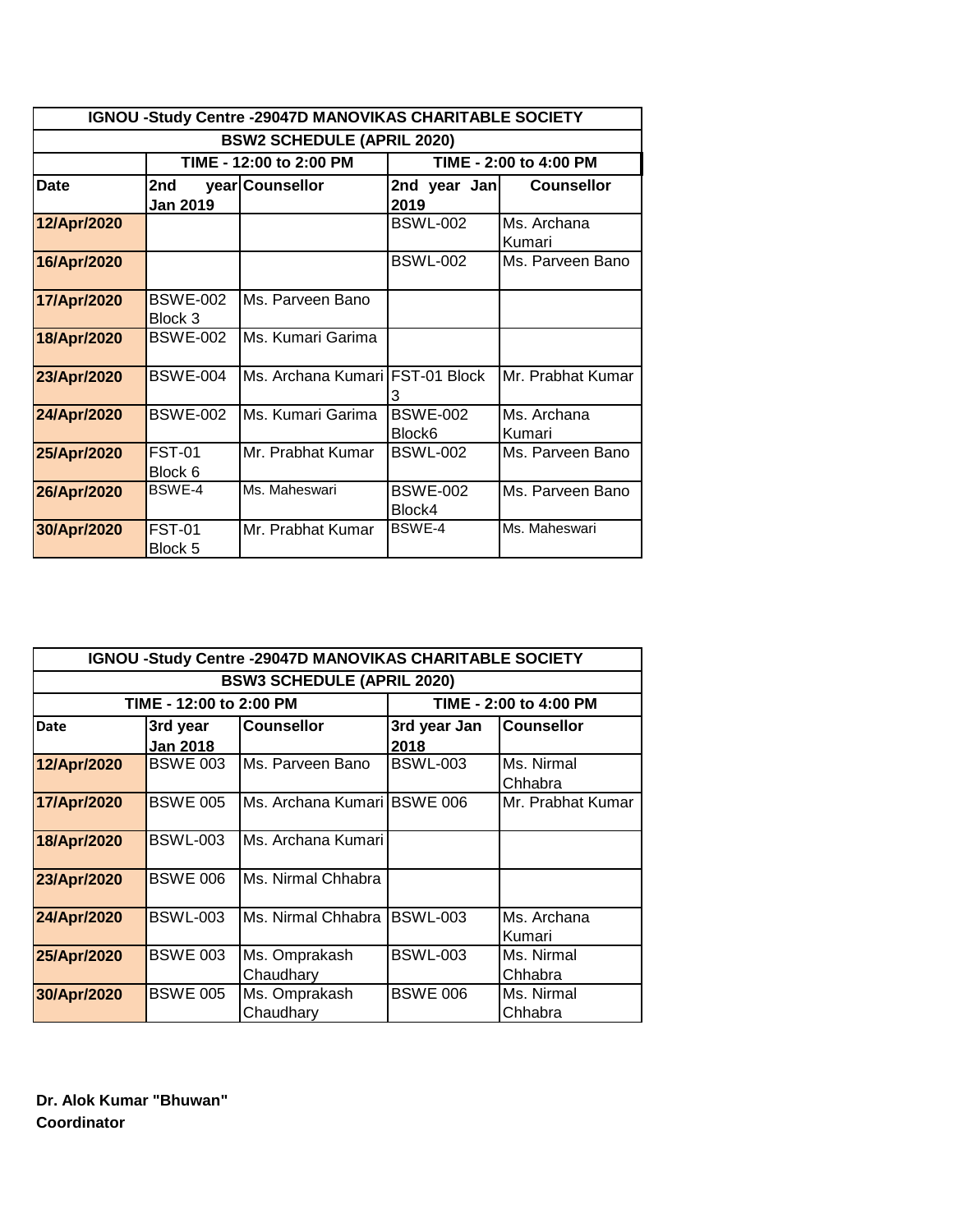| IGNOU -Study Centre -29047D MANOVIKAS CHARITABLE SOCIETY |                            |                                   |                           |                       |  |  |
|----------------------------------------------------------|----------------------------|-----------------------------------|---------------------------|-----------------------|--|--|
| <b>BSW2 SCHEDULE (APRIL 2020)</b>                        |                            |                                   |                           |                       |  |  |
| TIME - 12:00 to 2:00 PM<br>TIME - 2:00 to 4:00 PM        |                            |                                   |                           |                       |  |  |
| <b>Date</b><br>2nd<br><b>Jan 2019</b>                    |                            | year Counsellor                   | 2nd year Jan<br>2019      | <b>Counsellor</b>     |  |  |
| 12/Apr/2020                                              |                            |                                   | <b>BSWL-002</b>           | Ms. Archana<br>Kumari |  |  |
| 16/Apr/2020                                              |                            |                                   | <b>BSWL-002</b>           | Ms. Parveen Bano      |  |  |
| 17/Apr/2020                                              | <b>BSWE-002</b><br>Block 3 | Ms. Parveen Bano                  |                           |                       |  |  |
| 18/Apr/2020                                              | <b>BSWE-002</b>            | Ms. Kumari Garima                 |                           |                       |  |  |
| 23/Apr/2020                                              | <b>BSWE-004</b>            | Ms. Archana Kumari   FST-01 Block | З                         | Mr. Prabhat Kumar     |  |  |
| 24/Apr/2020                                              | <b>BSWE-002</b>            | Ms. Kumari Garima                 | <b>BSWE-002</b><br>Block6 | Ms. Archana<br>Kumari |  |  |
| 25/Apr/2020                                              | <b>FST-01</b><br>Block 6   | Mr. Prabhat Kumar                 | <b>BSWL-002</b>           | Ms. Parveen Bano      |  |  |
| 26/Apr/2020                                              | <b>BSWE-4</b>              | Ms. Maheswari                     | <b>BSWE-002</b><br>Block4 | Ms. Parveen Bano      |  |  |
| 30/Apr/2020                                              | <b>FST-01</b><br>Block 5   | Mr. Prabhat Kumar                 | <b>BSWF-4</b>             | Ms. Maheswari         |  |  |

| IGNOU -Study Centre -29047D MANOVIKAS CHARITABLE SOCIETY |                                       |                             |                               |                   |  |  |
|----------------------------------------------------------|---------------------------------------|-----------------------------|-------------------------------|-------------------|--|--|
| <b>BSW3 SCHEDULE (APRIL 2020)</b>                        |                                       |                             |                               |                   |  |  |
| TIME - 12:00 to 2:00 PM<br>TIME - 2:00 to 4:00 PM        |                                       |                             |                               |                   |  |  |
| <b>Date</b>                                              | 3rd year                              | <b>Counsellor</b>           | 3rd year Jan                  | Counsellor        |  |  |
|                                                          | <b>Jan 2018</b>                       | 2018                        |                               |                   |  |  |
| 12/Apr/2020                                              | <b>BSWE 003</b>                       | Ms. Parveen Bano            | <b>BSWL-003</b>               | Ms. Nirmal        |  |  |
|                                                          |                                       |                             |                               | Chhabra           |  |  |
| 17/Apr/2020                                              | <b>BSWE 005</b>                       | Ms. Archana Kumari BSWE 006 |                               | Mr. Prabhat Kumar |  |  |
|                                                          |                                       |                             |                               |                   |  |  |
| 18/Apr/2020                                              | Ms. Archana Kumari<br><b>BSWL-003</b> |                             |                               |                   |  |  |
|                                                          |                                       |                             |                               |                   |  |  |
| <b>BSWE 006</b><br>Ms. Nirmal Chhabra<br>23/Apr/2020     |                                       |                             |                               |                   |  |  |
|                                                          |                                       |                             |                               |                   |  |  |
| <b>BSWL-003</b><br>24/Apr/2020                           |                                       | Ms. Nirmal Chhabra BSWL-003 |                               | Ms. Archana       |  |  |
|                                                          |                                       | Kumari                      |                               |                   |  |  |
| 25/Apr/2020                                              | <b>BSWE 003</b>                       | Ms. Omprakash               |                               | Ms. Nirmal        |  |  |
|                                                          |                                       | Chaudhary<br>Chhabra        |                               |                   |  |  |
| 30/Apr/2020                                              | <b>BSWE 005</b>                       | Ms. Omprakash               | <b>BSWE 006</b><br>Ms. Nirmal |                   |  |  |
|                                                          | Chaudhary<br>Chhabra                  |                             |                               |                   |  |  |

**Dr. Alok Kumar "Bhuwan" Coordinator**